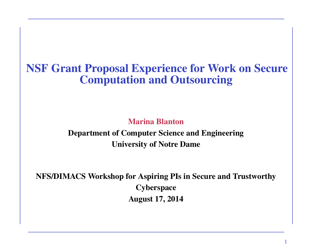# NSF Grant Proposal Experience for Work on Secure Computation and Outsourcing

Marina Blanton

Department of Computer Science and Engineering University of Notre Dame

NFS/DIMACS Workshop for Aspiring PIs in Secure and Trustworthy **Cyberspace** August 17, 2014

1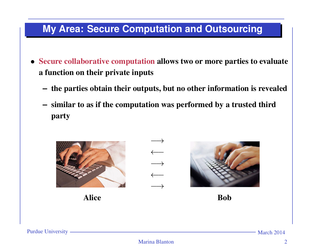## **My Area: Secure Computation and Outsourcing**

- Secure collaborative computation allows two or more parties to evaluate a function on their private inputs
	- **–** the parties obtain their outputs, but no other information is revealed
	- **–** similar to as if the computation was performed by a trusted third party

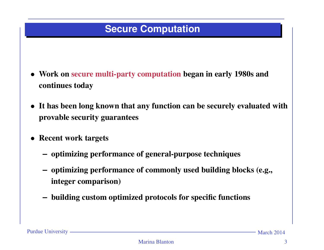### **Secure Computation**

- Work on secure multi-party computation began in early 1980s and continues today
- It has been long known that any function can be securely evaluated with provable security guarantees
- Recent work targets
	- **–** optimizing performance of general-purpose techniques
	- **–** optimizing performance of commonly used building blocks (e.g., integer comparison)
	- **–** building custom optimized protocols for specific functions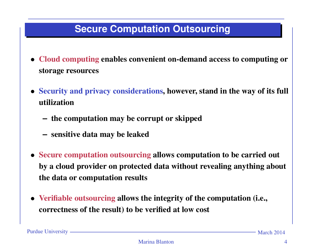## **Secure Computation Outsourcing**

- Cloud computing enables convenient on-demand access to computing or storage resources
- Security and privacy considerations, however, stand in the way of its full utilization
	- **–** the computation may be corrupt or skipped
	- **–** sensitive data may be leaked
- Secure computation outsourcing allows computation to be carried out by a cloud provider on protected data without revealing anything about the data or computation results
- Verifiable outsourcing allows the integrity of the computation (i.e., correctness of the result) to be verified at low cost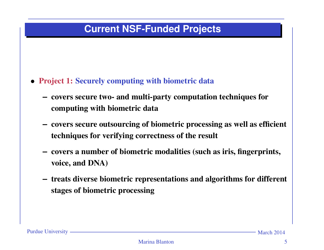#### **Current NSF-Funded Projects**

- Project 1: Securely computing with biometric data
	- **–** covers secure two- and multi-party computation techniques for computing with biometric data
	- **–** covers secure outsourcing of biometric processing as well as efficient techniques for verifying correctness of the result
	- **–** covers a number of biometric modalities (such as iris, fingerprints, voice, and DNA)
	- **–** treats diverse biometric representations and algorithms for different stages of biometric processing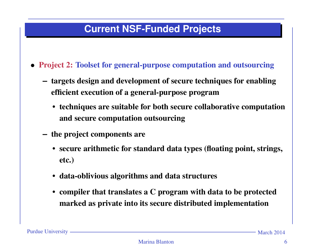#### **Current NSF-Funded Projects**

- Project 2: Toolset for general-purpose computation and outsourcing
	- **–** targets design and development of secure techniques for enabling efficient execution of a general-purpose program
		- techniques are suitable for both secure collaborative computation and secure computation outsourcing
	- **–** the project components are
		- secure arithmetic for standard data types (floating point, strings, etc.)
		- data-oblivious algorithms and data structures
		- compiler that translates a C program with data to be protected marked as private into its secure distributed implementation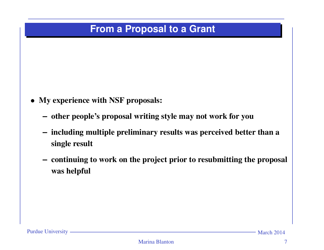#### **From a Proposal to a Grant**

- My experience with NSF proposals:
	- **–** other people's proposal writing style may not work for you
	- **–** including multiple preliminary results was perceived better than a single result
	- **–** continuing to work on the project prior to resubmitting the proposal was helpful